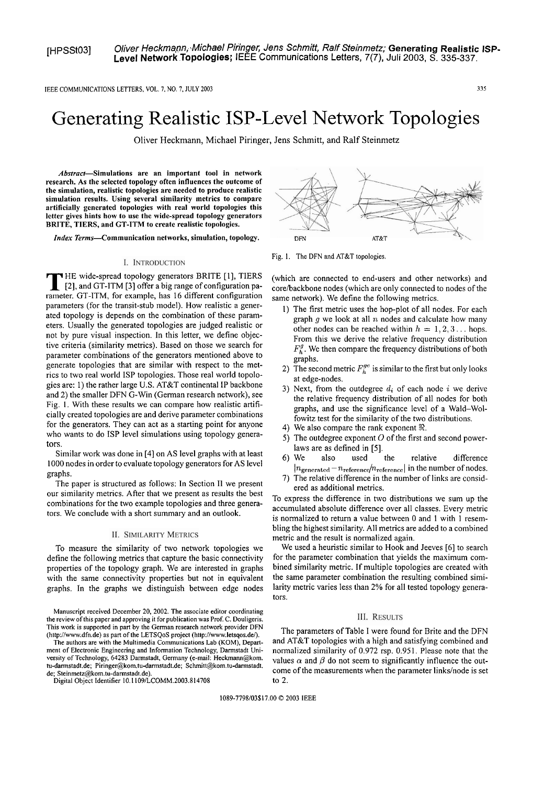IEEE COMMUNICATIONS LETTERS. VOL. **7.** NO. 7, JULY 2003 **335** 

# Generating Realistic ISP-Level Network Topologies

Oliver Heckmann, Michael Piringer, Jens Schmitt, and Ralf Steinmetz

Abstract-Simulations are an important tool in network **research. As the selected topology often influences the outcome of the simulation, realistic topologies are needed to produce realistic simulation results. Using several similarity metrics to compare artificially generated topologies with real world topologies this letter gives hints how to use the wide-spread topology generators BRITE, TIERS, and CT-ITM to create realistic topologies.** 

**Index Terms-Communication networks, simulation, topology.** 

#### **I. INTRODUCTION**

**T** HE wide-spread topology generators BRITE [I], TIERS [2], and GT-ITM [3] offer a big range of configuration parameter. GT-ITM, for example, has 16 different configuration parameters (for the transit-stub model). How realistic a generated topology is depends on the combination of these parameters. Usually the generated topologies are judged realistic or not by pure visual inspection. In this letter, we define objective criteria (similarity metrics). Based on those we search for parameter combinations of the generators mentioned above to generate topologies that are similar with respect to the metrics to two real world ISP topologies. Those real world topologies are: 1) the rather large U.S. AT&T continental IP backbone and 2) the smaller DFN G-Win (German research network), see Fig. 1. With these results we can compare how realistic artificially created topologies are and derive parameter combinations for the generators. They can act as a starting point for anyone who wants to do ISP level simulations using topology generators.

Similar work was done in [4] on AS level graphs with at least 1000 nodes in order to evaluate topology generators for AS level graphs.

The paper is structured as follows: In Section **I1** we present our similarity metrics. After that we present as results the best combinations for the two example topologies and three generators. We conclude with a short summary and an outlook.

### **II. SIMILARITY METRICS**

To measure the similarity of two network topologies we define the following metrics that capture the basic connectivity properties of the topology graph. We are interested in graphs with the same connectivity properties but not in equivalent graphs. In the graphs we distinguish between edge nodes

Manuscript received December 20, 2002. The associate editor coordinating the review of this paper and approving it for publication was Prof. C. Douligeris. This work is supporied in part by the German research network provider DFN (http://www.dfn.de) as part of the LETSQoS project **(hiip://www.letsqos.del).** 

The authors are with the Multimedia Communications Lab (KOM), Department of Electronic Engineering and Information Technology, Darmstadt Universiiy of Technology, 64283 Darmstadt, Germany (e-mail: Heckmam@kom. iu-darmstadt.de; **Piringer@kom.tu-darmstadt.de; Schmitt@kom.iu-darmstadt.**  de; **Steinmetz@kom.tu-darmstadt.de).** 

Digital Object ldentifier 10.1 109/LCOMM.2003.814708



Fig. 1. The DFN and AT&T topologies.

(which are connected to end-users and other networks) and core/backbone nodes (which are only connected to nodes of the same network). We define the following metrics.

- 1) The first metric uses the hop-plot of all nodes. For each graph  $g$  we look at all  $n$  nodes and calculate how many other nodes can be reached within  $h = 1, 2, 3...$  hops. From this we derive the relative frequency distribution  $F<sub>b</sub><sup>g</sup>$ . We then compare the frequency distributions of both graphs.
- 2) The second metric  $F_h^{ge}$  is similar to the first but only looks at edge-nodes.
- 3) Next, from the outdegree  $d_i$  of each node  $i$  we derive the relative frequency distribution of all nodes for both graphs, and use the significance level of a Wald-Wolfowitz test for the similarity of the two distributions.
- 4) We also compare the rank exponent  $\Re$ .
- 5) The outdegree exponent  $O$  of the first and second powerlaws are as defined in [5].
- 6)We also used the relative difference  $|n_{\text{generated}} - n_{\text{reference}}/n_{\text{reference}}|$  in the number of nodes.
- 7) The relative difference in the number of links are considered as additional metrics.

To express the difference in two distributions we sum up the accumulated absolute difference over all classes. Every metric is normalized to return a value between 0 and 1 with 1 resembling the highest similarity. All metrics are added to a combined metric and the result is normalized again.

We used a heuristic similar to Hook and Jeeves [6] to search for the parameter combination that yields the maximum combined similarity metric. If multiple topologies are created with the same parameter combination the resulting combined similarity metric varies less than 2% for all tested topology generators.

### **III. RESULTS**

The parameters of Table I were found for Brite and the DFN and  $AT&T$  topologies with a high and satisfying combined and normalized similarity of 0.972 rsp. 0.95 1. Please note that the values  $\alpha$  and  $\beta$  do not seem to significantly influence the outcome of the measurements when the parameter links/node is set to **2.** 

1089-7798/03\$17.00 @ 2003 IEEE